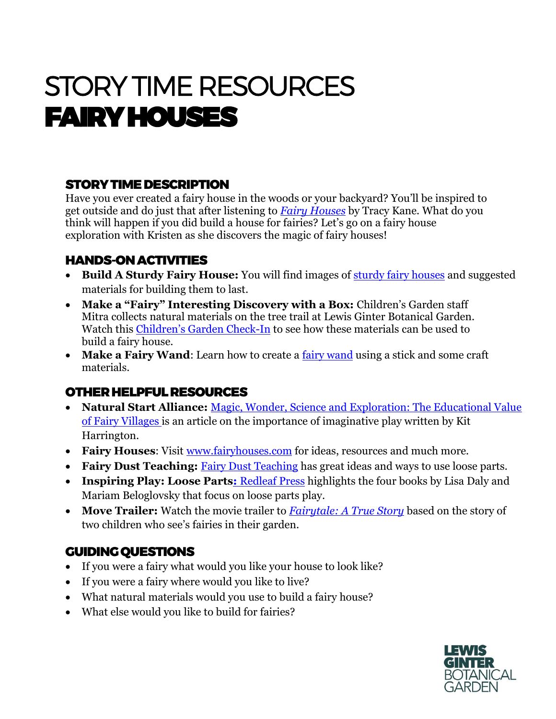# STORY TIME RESOURCES FAIRY HOUSES

## STORY TIME DESCRIPTION

Have you ever created a fairy house in the woods or your backyard? You'll be inspired to get outside and do just that after listening to *[Fairy Houses](https://www.amazon.com/Fairy-Houses-%C2%AE/dp/0970810458/ref=pd_sim_14_4/146-5766853-3025906?_encoding=UTF8&pd_rd_i=0970810458&pd_rd_r=7e35d687-6aa6-43c1-a8b2-45935b5df673&pd_rd_w=C14re&pd_rd_wg=oN1s8&pf_rd_p=672258bc-00f4-47f4-af1f-47dd66456e39&pf_rd_r=FR1MC63XM6MTSJXMJRTZ&psc=1&refRID=FR1MC63XM6MTSJXMJRTZ)* by Tracy Kane. What do you think will happen if you did build a house for fairies? Let's go on a fairy house exploration with Kristen as she discovers the magic of fairy houses!

### HANDS-ON ACTIVITIES

- **Build A Sturdy Fairy House:** You will find images of [sturdy fairy houses](http://www.sturdyforcommonthings.com/2016/05/building-natural-fairy-houses/) and suggested materials for building them to last.
- **Make a "Fairy" Interesting Discovery with a Box:** Children's Garden staff Mitra collects natural materials on the tree trail at Lewis Ginter Botanical Garden. Watch this [Children's Garden Check](https://www.facebook.com/LewisGinter/videos/a-fairy-interesting-discovery-with-a-box/295987084961709/)-In to see how these materials can be used to build a fairy house.
- Make a Fairy Wand: Learn how to create a **fairy wand** using a stick and some craft materials.

### OTHER HELPFUL RESOURCES

- **Natural Start Alliance:** [Magic, Wonder, Science and Exploration: The Educational Value](https://naturalstart.org/feature-stories/magic-wonder-science-and-exploration-educational-value-fairy-villages)  [of Fairy Villages](https://naturalstart.org/feature-stories/magic-wonder-science-and-exploration-educational-value-fairy-villages) is an article on the importance of imaginative play written by Kit Harrington.
- **Fairy Houses**: Visit [www.fairyhouses.com](http://www.fairyhouses.com/) for ideas, resources and much more.
- **[Fairy Dust Teaching](https://fairydustteaching.com/2016/10/loose-parts/): Fairy Dust Teaching has great ideas and ways to use loose parts.**
- **Inspiring Play: Loose Parts: [Redleaf Press](https://www.redleafpress.org/loose-parts.aspx?gclid=EAIaIQobChMIo7uj56vN6wIVQuG1Ch1iiwNOEAAYASAAEgL66fD_BwE) highlights the four books by Lisa Daly and** Mariam Beloglovsky that focus on loose parts play.
- **Move Trailer:** Watch the movie trailer to *[Fairytale: A True Story](https://www.youtube.com/watch?v=QF3btTryoPo)* based on the story of two children who see's fairies in their garden.

### GUIDING QUESTIONS

- If you were a fairy what would you like your house to look like?
- If you were a fairy where would you like to live?
- What natural materials would you use to build a fairy house?
- What else would you like to build for fairies?